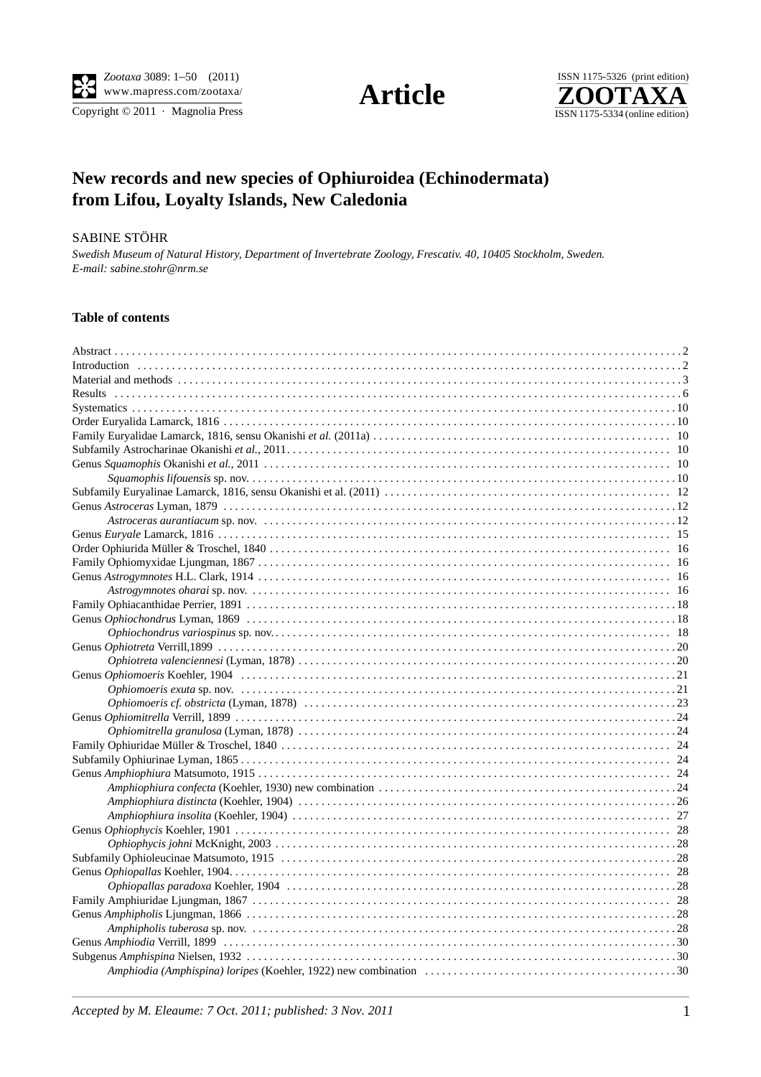$\overline{\text{Copyright} \odot 2011\, \cdot \text{ Magnolia Press}}}$ 





# **New records and new species of Ophiuroidea (Echinodermata) from Lifou, Loyalty Islands, New Caledonia**

#### SABINE STÖHR

*Swedish Museum of Natural History, Department of Invertebrate Zoology, Frescativ. 40, 10405 Stockholm, Sweden. E-mail: sabine.stohr@nrm.se*

## **Table of contents**